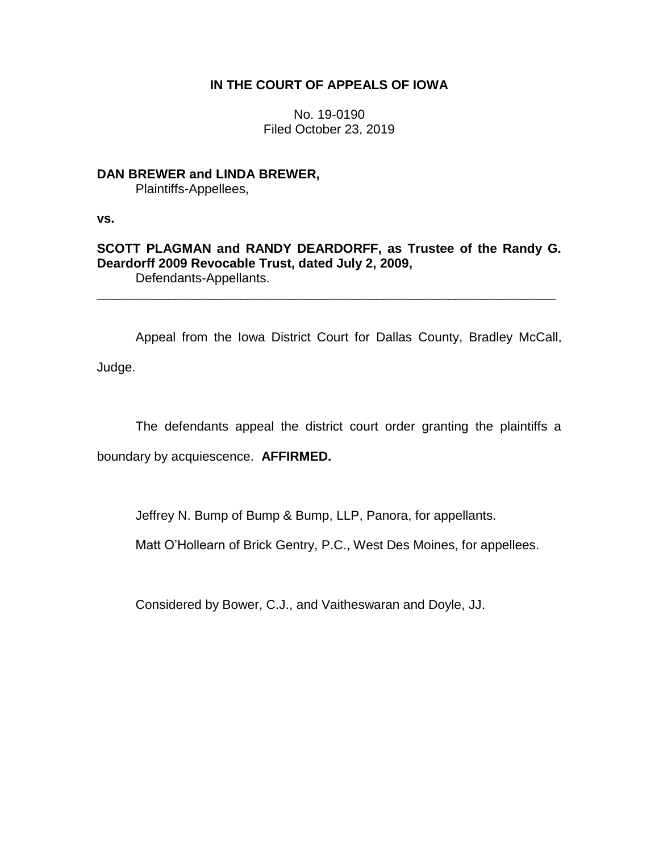# **IN THE COURT OF APPEALS OF IOWA**

No. 19-0190 Filed October 23, 2019

**DAN BREWER and LINDA BREWER,**

Plaintiffs-Appellees,

**vs.**

## **SCOTT PLAGMAN and RANDY DEARDORFF, as Trustee of the Randy G. Deardorff 2009 Revocable Trust, dated July 2, 2009,** Defendants-Appellants.

\_\_\_\_\_\_\_\_\_\_\_\_\_\_\_\_\_\_\_\_\_\_\_\_\_\_\_\_\_\_\_\_\_\_\_\_\_\_\_\_\_\_\_\_\_\_\_\_\_\_\_\_\_\_\_\_\_\_\_\_\_\_\_\_

Appeal from the Iowa District Court for Dallas County, Bradley McCall, Judge.

The defendants appeal the district court order granting the plaintiffs a

boundary by acquiescence. **AFFIRMED.**

Jeffrey N. Bump of Bump & Bump, LLP, Panora, for appellants.

Matt O'Hollearn of Brick Gentry, P.C., West Des Moines, for appellees.

Considered by Bower, C.J., and Vaitheswaran and Doyle, JJ.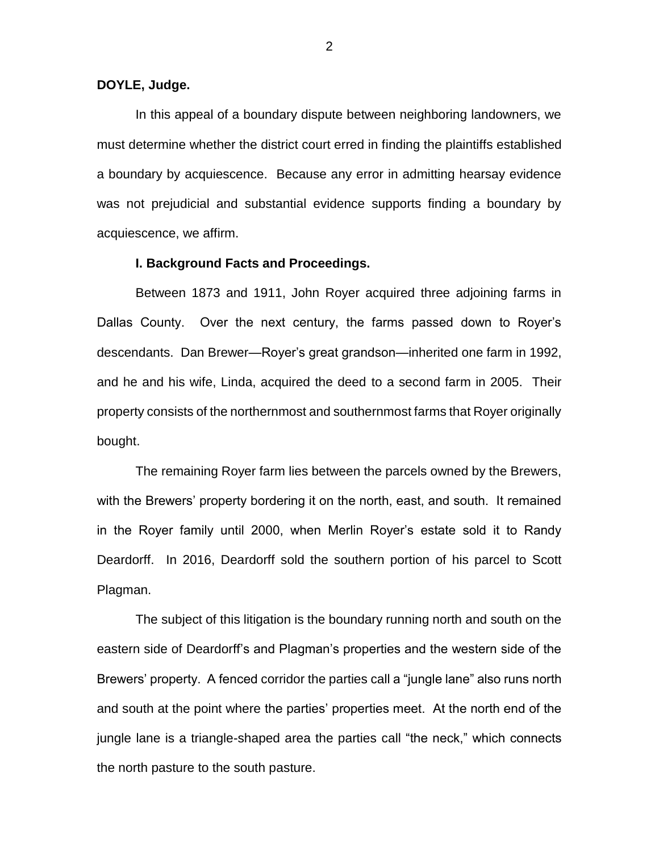### **DOYLE, Judge.**

In this appeal of a boundary dispute between neighboring landowners, we must determine whether the district court erred in finding the plaintiffs established a boundary by acquiescence. Because any error in admitting hearsay evidence was not prejudicial and substantial evidence supports finding a boundary by acquiescence, we affirm.

### **I. Background Facts and Proceedings.**

Between 1873 and 1911, John Royer acquired three adjoining farms in Dallas County. Over the next century, the farms passed down to Royer's descendants. Dan Brewer—Royer's great grandson—inherited one farm in 1992, and he and his wife, Linda, acquired the deed to a second farm in 2005. Their property consists of the northernmost and southernmost farms that Royer originally bought.

The remaining Royer farm lies between the parcels owned by the Brewers, with the Brewers' property bordering it on the north, east, and south. It remained in the Royer family until 2000, when Merlin Royer's estate sold it to Randy Deardorff. In 2016, Deardorff sold the southern portion of his parcel to Scott Plagman.

The subject of this litigation is the boundary running north and south on the eastern side of Deardorff's and Plagman's properties and the western side of the Brewers' property. A fenced corridor the parties call a "jungle lane" also runs north and south at the point where the parties' properties meet. At the north end of the jungle lane is a triangle-shaped area the parties call "the neck," which connects the north pasture to the south pasture.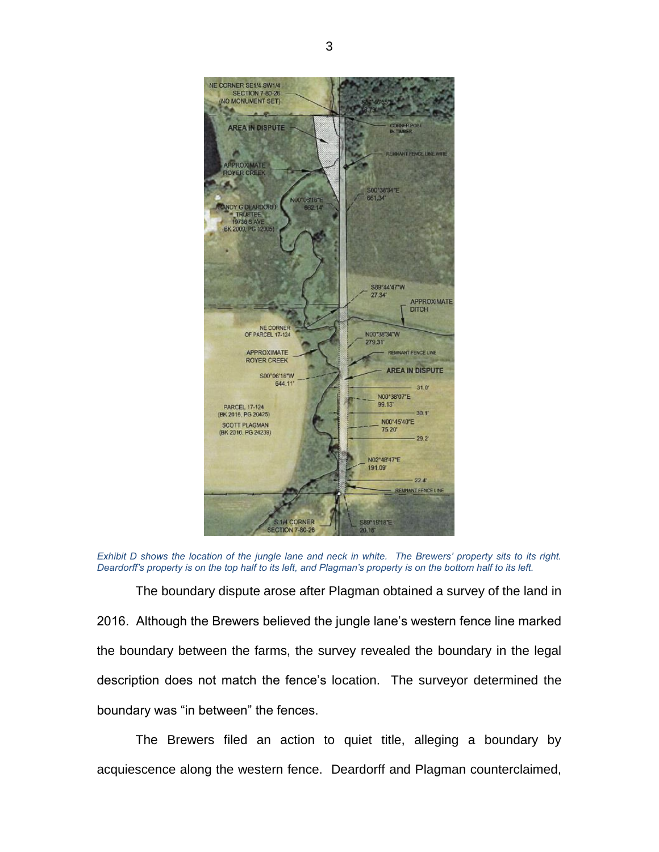

*Exhibit D shows the location of the jungle lane and neck in white. The Brewers' property sits to its right. Deardorff's property is on the top half to its left, and Plagman's property is on the bottom half to its left.* 

The boundary dispute arose after Plagman obtained a survey of the land in 2016. Although the Brewers believed the jungle lane's western fence line marked the boundary between the farms, the survey revealed the boundary in the legal description does not match the fence's location. The surveyor determined the boundary was "in between" the fences.

The Brewers filed an action to quiet title, alleging a boundary by acquiescence along the western fence. Deardorff and Plagman counterclaimed,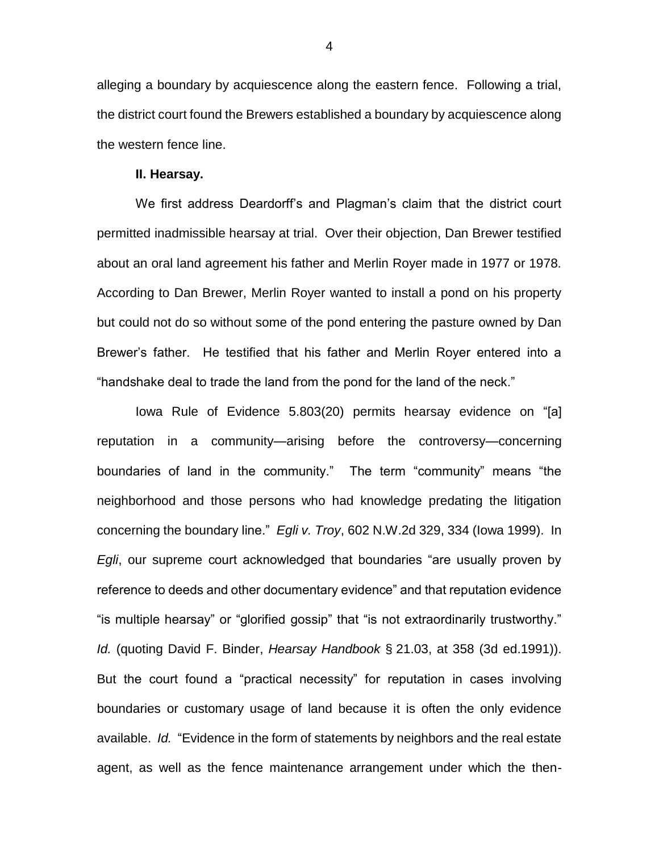alleging a boundary by acquiescence along the eastern fence. Following a trial, the district court found the Brewers established a boundary by acquiescence along the western fence line.

#### **II. Hearsay.**

We first address Deardorff's and Plagman's claim that the district court permitted inadmissible hearsay at trial. Over their objection, Dan Brewer testified about an oral land agreement his father and Merlin Royer made in 1977 or 1978. According to Dan Brewer, Merlin Royer wanted to install a pond on his property but could not do so without some of the pond entering the pasture owned by Dan Brewer's father. He testified that his father and Merlin Royer entered into a "handshake deal to trade the land from the pond for the land of the neck."

Iowa Rule of Evidence 5.803(20) permits hearsay evidence on "[a] reputation in a community—arising before the controversy—concerning boundaries of land in the community." The term "community" means "the neighborhood and those persons who had knowledge predating the litigation concerning the boundary line." *Egli v. Troy*, 602 N.W.2d 329, 334 (Iowa 1999). In *Egli*, our supreme court acknowledged that boundaries "are usually proven by reference to deeds and other documentary evidence" and that reputation evidence "is multiple hearsay" or "glorified gossip" that "is not extraordinarily trustworthy." *Id.* (quoting David F. Binder, *Hearsay Handbook* § 21.03, at 358 (3d ed.1991)). But the court found a "practical necessity" for reputation in cases involving boundaries or customary usage of land because it is often the only evidence available. *Id.* "Evidence in the form of statements by neighbors and the real estate agent, as well as the fence maintenance arrangement under which the then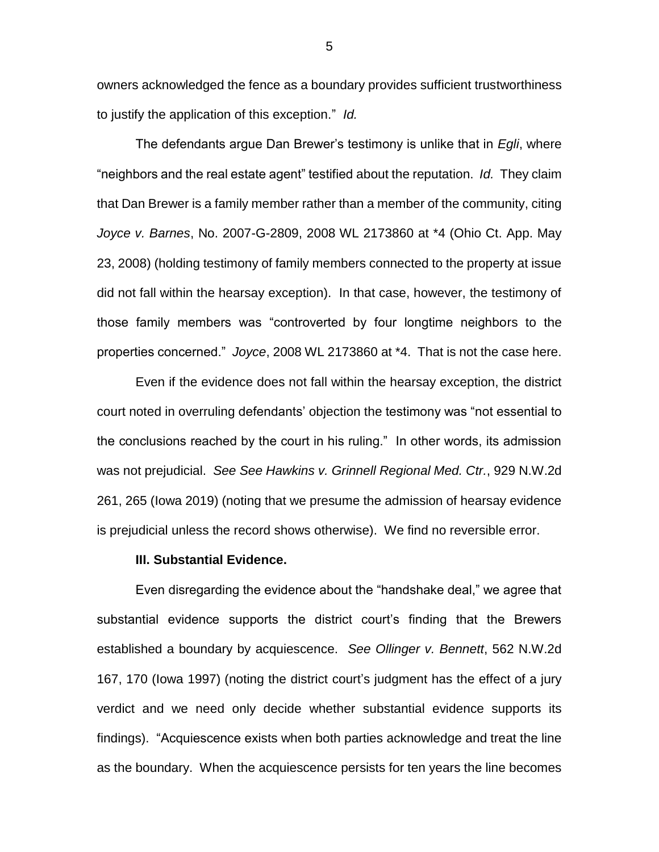owners acknowledged the fence as a boundary provides sufficient trustworthiness to justify the application of this exception." *Id.*

The defendants argue Dan Brewer's testimony is unlike that in *Egli*, where "neighbors and the real estate agent" testified about the reputation. *Id.* They claim that Dan Brewer is a family member rather than a member of the community, citing *Joyce v. Barnes*, No. 2007-G-2809, 2008 WL 2173860 at \*4 (Ohio Ct. App. May 23, 2008) (holding testimony of family members connected to the property at issue did not fall within the hearsay exception). In that case, however, the testimony of those family members was "controverted by four longtime neighbors to the properties concerned." *Joyce*, 2008 WL 2173860 at \*4. That is not the case here.

Even if the evidence does not fall within the hearsay exception, the district court noted in overruling defendants' objection the testimony was "not essential to the conclusions reached by the court in his ruling." In other words, its admission was not prejudicial. *See See Hawkins v. Grinnell Regional Med. Ctr.*, 929 N.W.2d 261, 265 (Iowa 2019) (noting that we presume the admission of hearsay evidence is prejudicial unless the record shows otherwise). We find no reversible error.

#### **III. Substantial Evidence.**

Even disregarding the evidence about the "handshake deal," we agree that substantial evidence supports the district court's finding that the Brewers established a boundary by acquiescence. *See Ollinger v. Bennett*, 562 N.W.2d 167, 170 (Iowa 1997) (noting the district court's judgment has the effect of a jury verdict and we need only decide whether substantial evidence supports its findings). "Acquiescence exists when both parties acknowledge and treat the line as the boundary. When the acquiescence persists for ten years the line becomes

5